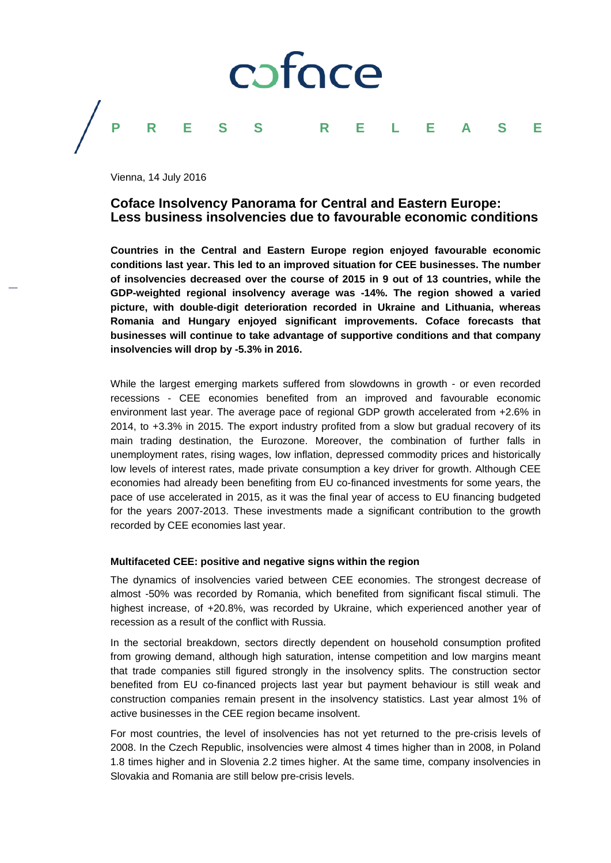# coface **PRESS RELEASE**

Vienna, 14 July 2016

### **Coface Insolvency Panorama for Central and Eastern Europe: Less business insolvencies due to favourable economic conditions**

**Countries in the Central and Eastern Europe region enjoyed favourable economic conditions last year. This led to an improved situation for CEE businesses. The number of insolvencies decreased over the course of 2015 in 9 out of 13 countries, while the GDP-weighted regional insolvency average was -14%. The region showed a varied picture, with double-digit deterioration recorded in Ukraine and Lithuania, whereas Romania and Hungary enjoyed significant improvements. Coface forecasts that businesses will continue to take advantage of supportive conditions and that company insolvencies will drop by -5.3% in 2016.**

While the largest emerging markets suffered from slowdowns in growth - or even recorded recessions - CEE economies benefited from an improved and favourable economic environment last year. The average pace of regional GDP growth accelerated from +2.6% in 2014, to +3.3% in 2015. The export industry profited from a slow but gradual recovery of its main trading destination, the Eurozone. Moreover, the combination of further falls in unemployment rates, rising wages, low inflation, depressed commodity prices and historically low levels of interest rates, made private consumption a key driver for growth. Although CEE economies had already been benefiting from EU co-financed investments for some years, the pace of use accelerated in 2015, as it was the final year of access to EU financing budgeted for the years 2007-2013. These investments made a significant contribution to the growth recorded by CEE economies last year.

#### **Multifaceted CEE: positive and negative signs within the region**

The dynamics of insolvencies varied between CEE economies. The strongest decrease of almost -50% was recorded by Romania, which benefited from significant fiscal stimuli. The highest increase, of +20.8%, was recorded by Ukraine, which experienced another year of recession as a result of the conflict with Russia.

In the sectorial breakdown, sectors directly dependent on household consumption profited from growing demand, although high saturation, intense competition and low margins meant that trade companies still figured strongly in the insolvency splits. The construction sector benefited from EU co-financed projects last year but payment behaviour is still weak and construction companies remain present in the insolvency statistics. Last year almost 1% of active businesses in the CEE region became insolvent.

For most countries, the level of insolvencies has not yet returned to the pre-crisis levels of 2008. In the Czech Republic, insolvencies were almost 4 times higher than in 2008, in Poland 1.8 times higher and in Slovenia 2.2 times higher. At the same time, company insolvencies in Slovakia and Romania are still below pre-crisis levels.